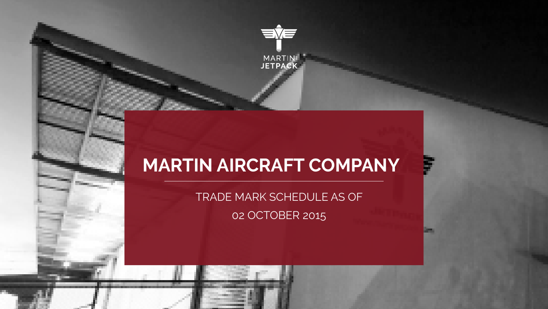

## **MARTIN AIRCRAFT COMPANY**

TRADE MARK SCHEDULE AS OF 02 OCTOBER 2015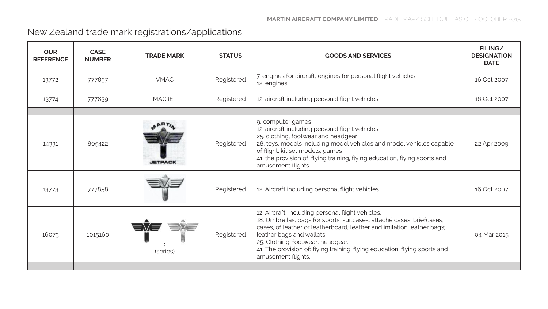## New Zealand trade mark registrations/applications

| <b>OUR</b><br><b>REFERENCE</b> | <b>CASE</b><br><b>NUMBER</b> | <b>TRADE MARK</b> | <b>STATUS</b> | <b>GOODS AND SERVICES</b>                                                                                                                                                                                                                                                                                                                                                  | FILING/<br><b>DESIGNATION</b><br><b>DATE</b> |
|--------------------------------|------------------------------|-------------------|---------------|----------------------------------------------------------------------------------------------------------------------------------------------------------------------------------------------------------------------------------------------------------------------------------------------------------------------------------------------------------------------------|----------------------------------------------|
| 13772                          | 777857                       | <b>VMAC</b>       | Registered    | 7. engines for aircraft; engines for personal flight vehicles<br>12. engines                                                                                                                                                                                                                                                                                               | 16 Oct 2007                                  |
| 13774                          | 777859                       | <b>MACJET</b>     | Registered    | 12. aircraft including personal flight vehicles                                                                                                                                                                                                                                                                                                                            | 16 Oct 2007                                  |
| 14331                          | 805422                       | JETPACK           | Registered    | 9. computer games<br>12. aircraft including personal flight vehicles<br>25. clothing, footwear and headgear<br>28. toys, models including model vehicles and model vehicles capable<br>of flight, kit set models, games<br>41. the provision of: flying training, flying education, flying sports and<br>amusement flights                                                 | 22 Apr 2009                                  |
| 13773                          | 777858                       |                   | Registered    | 12. Aircraft including personal flight vehicles.                                                                                                                                                                                                                                                                                                                           | 16 Oct 2007                                  |
| 16073                          | 1015160                      | (series)          | Registered    | 12. Aircraft, including personal flight vehicles.<br>18. Umbrellas; bags for sports; suitcases; attaché cases; briefcases;<br>cases, of leather or leatherboard; leather and imitation leather bags;<br>leather bags and wallets.<br>25. Clothing; footwear; headgear.<br>41. The provision of: flying training, flying education, flying sports and<br>amusement flights. | 04 Mar 2015                                  |
|                                |                              |                   |               |                                                                                                                                                                                                                                                                                                                                                                            |                                              |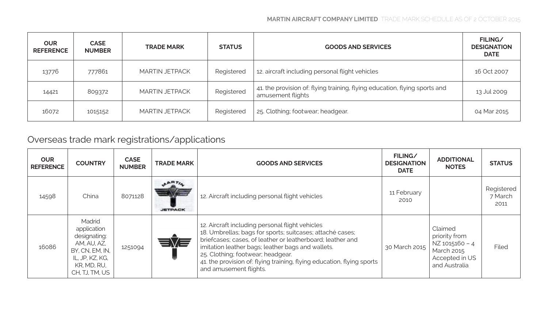| <b>OUR</b><br><b>REFERENCE</b> | <b>CASE</b><br><b>NUMBER</b> | <b>TRADE MARK</b> | <b>STATUS</b> | <b>GOODS AND SERVICES</b>                                                                       | <b>FILING/</b><br><b>DESIGNATION</b><br><b>DATE</b> |
|--------------------------------|------------------------------|-------------------|---------------|-------------------------------------------------------------------------------------------------|-----------------------------------------------------|
| 13776                          | 777861                       | MARTIN JETPACK    | Registered    | 12. aircraft including personal flight vehicles                                                 | 16 Oct 2007                                         |
| 14421                          | 809372                       | MARTIN JETPACK    | Registered    | 41. the provision of: flying training, flying education, flying sports and<br>amusement flights | 13 Jul 2009                                         |
| 16072                          | 1015152                      | MARTIN JETPACK    | Registered    | 25. Clothing; footwear; headgear.                                                               | 04 Mar 2015                                         |

## Overseas trade mark registrations/applications

| <b>OUR</b><br><b>REFERENCE</b> | <b>COUNTRY</b>                                                                                                              | <b>CASE</b><br><b>NUMBER</b> | <b>TRADE MARK</b>      | <b>GOODS AND SERVICES</b>                                                                                                                                                                                                                                                                                                                                                | FILING/<br><b>DESIGNATION</b><br><b>DATE</b> | <b>ADDITIONAL</b><br><b>NOTES</b>                                                           | <b>STATUS</b>                 |
|--------------------------------|-----------------------------------------------------------------------------------------------------------------------------|------------------------------|------------------------|--------------------------------------------------------------------------------------------------------------------------------------------------------------------------------------------------------------------------------------------------------------------------------------------------------------------------------------------------------------------------|----------------------------------------------|---------------------------------------------------------------------------------------------|-------------------------------|
| 14598                          | China                                                                                                                       | 8071128                      | ART/<br><b>JETPACK</b> | 12. Aircraft including personal flight vehicles                                                                                                                                                                                                                                                                                                                          | 11 February<br>2010                          |                                                                                             | Registered<br>7 March<br>2011 |
| 16086                          | Madrid<br>application<br>designating:<br>AM. AU. AZ.<br>BY, CN, EM, IN,<br>IL. JP. KZ. KG.<br>KR. MD. RU.<br>CH. TJ. TM. US | 1251094                      | EVE                    | 12. Aircraft including personal flight vehicles<br>18. Umbrellas; bags for sports; suitcases; attaché cases;<br>briefcases: cases, of leather or leatherboard: leather and<br>imitation leather bags; leather bags and wallets.<br>25. Clothing; footwear; headgear.<br>41. the provision of: flying training, flying education, flying sports<br>and amusement flights. | 30 March 2015                                | Claimed<br>priority from<br>NZ 1015160 - 4<br>March 2015<br>Accepted in US<br>and Australia | Filed                         |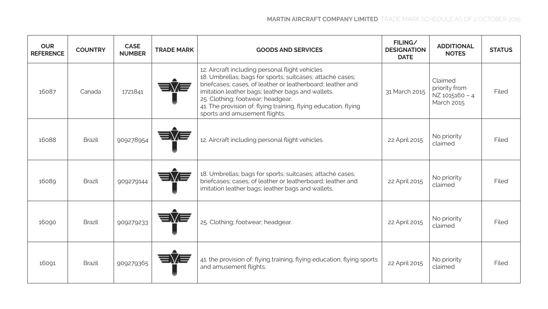| <b>OUR</b><br><b>REFERENCE</b> | <b>COUNTRY</b> | <b>CASE</b><br><b>NUMBER</b> | <b>TRADE MARK</b> | <b>GOODS AND SERVICES</b>                                                                                                                                                                                                                                                                                                                                                | FILING/<br><b>DESIGNATION</b><br><b>DATE</b> | <b>ADDITIONAL</b><br><b>NOTES</b>                        | <b>STATUS</b> |
|--------------------------------|----------------|------------------------------|-------------------|--------------------------------------------------------------------------------------------------------------------------------------------------------------------------------------------------------------------------------------------------------------------------------------------------------------------------------------------------------------------------|----------------------------------------------|----------------------------------------------------------|---------------|
| 16087                          | Canada         | 1721841                      |                   | 12. Aircraft including personal flight vehicles<br>18. Umbrellas; bags for sports; suitcases; attaché cases;<br>briefcases: cases, of leather or leatherboard: leather and<br>imitation leather bags; leather bags and wallets.<br>25. Clothing; footwear; headgear.<br>41. The provision of: flying training, flying education, flying<br>sports and amusement flights. | 31 March 2015                                | Claimed<br>priority from<br>NZ 1015160 - 4<br>March 2015 | Filed         |
| 16088                          | <b>Brazil</b>  | 909278954                    | EÑS               | 12. Aircraft including personal flight vehicles.                                                                                                                                                                                                                                                                                                                         | 22 April 2015                                | No priority<br>claimed                                   | Filed         |
| 16089                          | <b>Brazil</b>  | 909279144                    | EVEZ              | 18. Umbrellas; bags for sports; suitcases; attaché cases;<br>briefcases; cases, of leather or leatherboard; leather and<br>imitation leather bags; leather bags and wallets.                                                                                                                                                                                             | 22 April 2015                                | No priority<br>claimed                                   | Filed         |
| 16090                          | Brazil         | 909279233                    | <u>ENE</u>        | 25. Clothing; footwear; headgear.                                                                                                                                                                                                                                                                                                                                        | 22 April 2015                                | No priority<br>claimed                                   | Filed         |
| 16091                          | Brazil         | 909279365                    | ≡V≡               | 41. the provision of: flying training, flying education, flying sports<br>and amusement flights.                                                                                                                                                                                                                                                                         | 22 April 2015                                | No priority<br>claimed                                   | Filed         |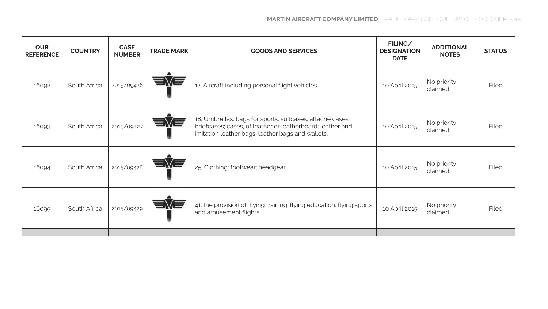| <b>OUR</b><br><b>REFERENCE</b> | <b>COUNTRY</b> | <b>CASE</b><br><b>NUMBER</b> | <b>TRADE MARK</b> | <b>GOODS AND SERVICES</b>                                                                                                                                                    | FILING/<br><b>DESIGNATION</b><br><b>DATE</b> | <b>ADDITIONAL</b><br><b>NOTES</b> | <b>STATUS</b> |
|--------------------------------|----------------|------------------------------|-------------------|------------------------------------------------------------------------------------------------------------------------------------------------------------------------------|----------------------------------------------|-----------------------------------|---------------|
| 16092                          | South Africa   | 2015/09426                   | EVE               | 12. Aircraft including personal flight vehicles.                                                                                                                             | 10 April 2015                                | No priority<br>claimed            | Filed         |
| 16093                          | South Africa   | 2015/09427                   | EVE               | 18. Umbrellas; bags for sports; suitcases; attaché cases;<br>briefcases; cases, of leather or leatherboard; leather and<br>imitation leather bags; leather bags and wallets. | 10 April 2015                                | No priority<br>claimed            | Filed         |
| 16094                          | South Africa   | 2015/09428                   | EVE               | 25. Clothing; footwear; headgear.                                                                                                                                            | 10 April 2015                                | No priority<br>claimed            | Filed         |
| 16095                          | South Africa   | 2015/09429                   | EVE               | 41. the provision of: flying training, flying education, flying sports<br>and amusement flights.                                                                             | 10 April 2015                                | No priority<br>claimed            | Filed         |
|                                |                |                              |                   |                                                                                                                                                                              |                                              |                                   |               |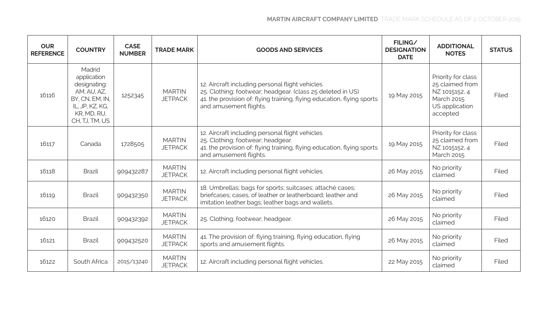| <b>OUR</b><br><b>REFERENCE</b> | <b>COUNTRY</b>                                                                                                              | <b>CASE</b><br><b>NUMBER</b> | <b>TRADE MARK</b>               | <b>GOODS AND SERVICES</b>                                                                                                                                                                                         | FILING/<br><b>DESIGNATION</b><br><b>DATE</b> | <b>ADDITIONAL</b><br><b>NOTES</b>                                                                  | <b>STATUS</b> |
|--------------------------------|-----------------------------------------------------------------------------------------------------------------------------|------------------------------|---------------------------------|-------------------------------------------------------------------------------------------------------------------------------------------------------------------------------------------------------------------|----------------------------------------------|----------------------------------------------------------------------------------------------------|---------------|
| 16116                          | Madrid<br>application<br>designating:<br>AM. AU. AZ.<br>BY, CN, EM, IN,<br>IL, JP, KZ, KG,<br>KR. MD. RU.<br>CH. TJ. TM. US | 1252345                      | <b>MARTIN</b><br><b>JETPACK</b> | 12. Aircraft including personal flight vehicles<br>25. Clothing; footwear; headgear. (class 25 deleted in US)<br>41. the provision of: flying training, flying education, flying sports<br>and amusement flights. | 19 May 2015                                  | Priority for class<br>25 claimed from<br>NZ 1015152, 4<br>March 2015<br>US application<br>accepted | Filed         |
| 16117                          | Canada                                                                                                                      | 1728505                      | <b>MARTIN</b><br><b>JETPACK</b> | 12. Aircraft including personal flight vehicles<br>25. Clothing; footwear; headgear.<br>41. the provision of: flying training, flying education, flying sports<br>and amusement flights.                          | 19 May 2015                                  | Priority for class<br>25 claimed from<br>NZ 1015152, 4<br>March 2015                               | Filed         |
| 16118                          | <b>Brazil</b>                                                                                                               | 909432287                    | <b>MARTIN</b><br><b>JETPACK</b> | 12. Aircraft including personal flight vehicles.                                                                                                                                                                  | 26 May 2015                                  | No priority<br>claimed                                                                             | Filed         |
| 16119                          | <b>Brazil</b>                                                                                                               | 909432350                    | <b>MARTIN</b><br><b>JETPACK</b> | 18. Umbrellas; bags for sports; suitcases; attaché cases;<br>briefcases; cases, of leather or leatherboard; leather and<br>imitation leather bags; leather bags and wallets.                                      | 26 May 2015                                  | No priority<br>claimed                                                                             | Filed         |
| 16120                          | <b>Brazil</b>                                                                                                               | 909432392                    | <b>MARTIN</b><br><b>JETPACK</b> | 25. Clothing; footwear; headgear.                                                                                                                                                                                 | 26 May 2015                                  | No priority<br>claimed                                                                             | Filed         |
| 16121                          | Brazil                                                                                                                      | 909432520                    | <b>MARTIN</b><br><b>JETPACK</b> | 41. The provision of: flying training, flying education, flying<br>sports and amusement flights.                                                                                                                  | 26 May 2015                                  | No priority<br>claimed                                                                             | Filed         |
| 16122                          | South Africa                                                                                                                | 2015/13240                   | <b>MARTIN</b><br><b>JETPACK</b> | 12. Aircraft including personal flight vehicles.                                                                                                                                                                  | 22 May 2015                                  | No priority<br>claimed                                                                             | Filed         |